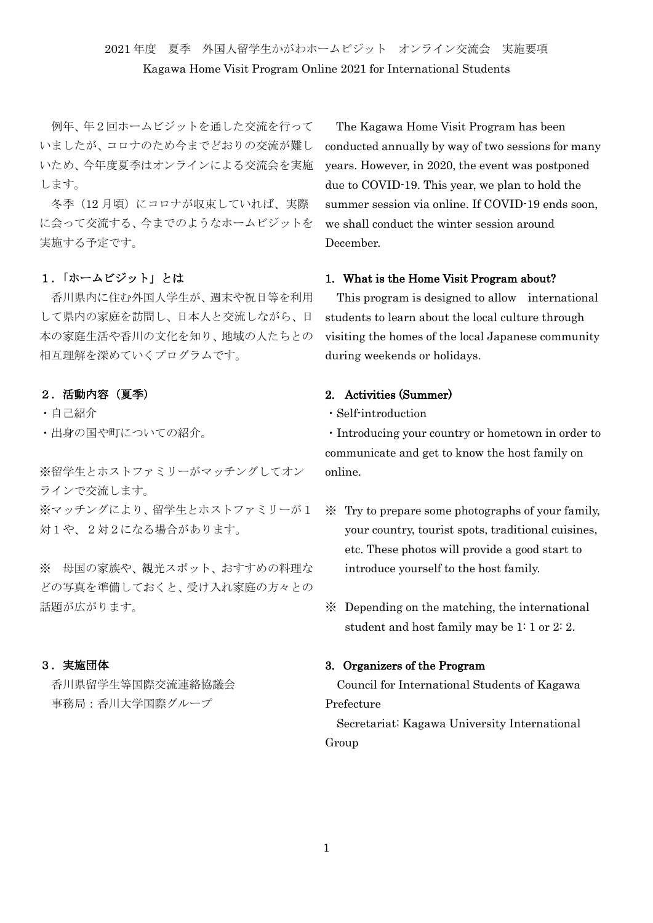# 2021 年度 夏季 外国人留学生かがわホームビジット オンライン交流会 実施要項 Kagawa Home Visit Program Online 2021 for International Students

例年、年2回ホームビジットを通した交流を行って いましたが、コロナのため今までどおりの交流が難し いため、今年度夏季はオンラインによる交流会を実施 します。

冬季(12月頃)にコロナが収束していれば、実際 に会って交流する、今までのようなホームビジットを 実施する予定です。

# 1.「ホームビジット」とは

香川県内に住む外国人学生が、週末や祝日等を利用 して県内の家庭を訪問し、日本人と交流しながら、日 本の家庭生活や香川の文化を知り、地域の人たちとの 相互理解を深めていくプログラムです。

#### 2.活動内容(夏季)

- ・自己紹介
- ・出身の国や町についての紹介。

※留学生とホストファミリーがマッチングしてオン ラインで交流します。

※マッチングにより、留学生とホストファミリーが1 対1や、2対2になる場合があります。

※ 母国の家族や、観光スポット、おすすめの料理な どの写真を準備しておくと、受け入れ家庭の方々との 話題が広がります。

# 3.実施団体

香川県留学生等国際交流連絡協議会 事務局:香川大学国際グループ

The Kagawa Home Visit Program has been conducted annually by way of two sessions for many years. However, in 2020, the event was postponed due to COVID-19. This year, we plan to hold the summer session via online. If COVID-19 ends soon, we shall conduct the winter session around December.

#### 1. What is the Home Visit Program about?

This program is designed to allow international students to learn about the local culture through visiting the homes of the local Japanese community during weekends or holidays.

# 2. Activities (Summer)

・Self-introduction

・Introducing your country or hometown in order to communicate and get to know the host family on online.

- ※ Try to prepare some photographs of your family, your country, tourist spots, traditional cuisines, etc. These photos will provide a good start to introduce yourself to the host family.
- ※ Depending on the matching, the international student and host family may be 1: 1 or 2: 2.

# 3. Organizers of the Program

Council for International Students of Kagawa Prefecture

Secretariat: Kagawa University International Group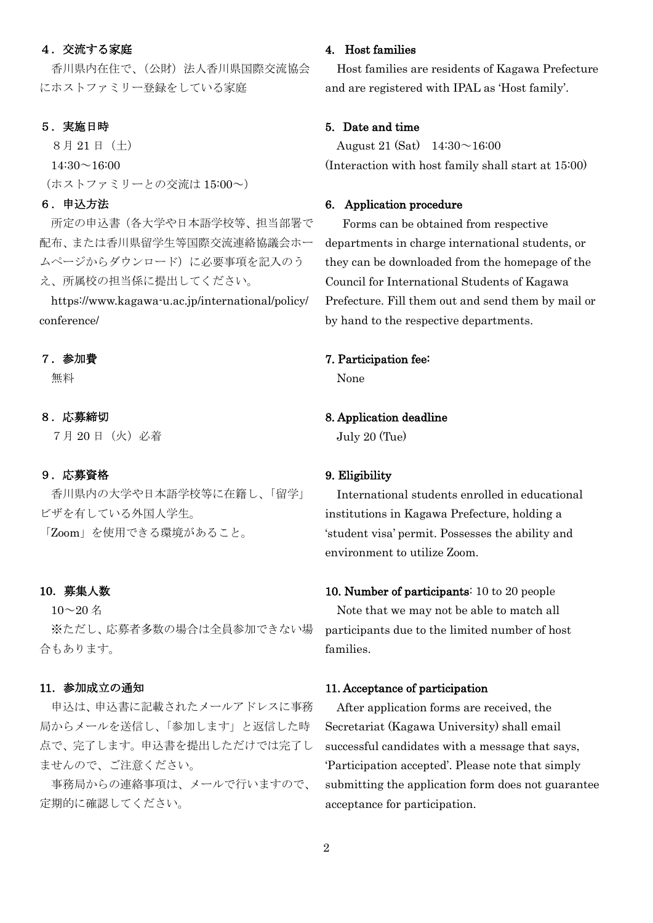### 4.交流する家庭

香川県内在住で、(公財)法人香川県国際交流協会 にホストファミリー登録をしている家庭

#### 5.実施日時

8月 21 日(土)  $14:30 \sim 16:00$ (ホストファミリーとの交流は 15:00~)

# 6.申込方法

所定の申込書(各大学や日本語学校等、担当部署で 配布、または香川県留学生等国際交流連絡協議会ホー ムページからダウンロード)に必要事項を記入のう え、所属校の担当係に提出してください。

https://www.kagawa-u.ac.jp/international/policy/ conference/

#### 7.参加費

無料

#### 8.応募締切

7月 20 日(火)必着

# 9.応募資格

香川県内の大学や日本語学校等に在籍し、「留学」 ビザを有している外国人学生。

「Zoom」を使用できる環境があること。

#### 10.募集人数

 $10~20$  名

※ただし、応募者多数の場合は全員参加できない場 合もあります。

#### 11.参加成立の通知

申込は、申込書に記載されたメールアドレスに事務 局からメールを送信し、「参加します」と返信した時 点で、完了します。申込書を提出しただけでは完了し ませんので、ご注意ください。

事務局からの連絡事項は、メールで行いますので、 定期的に確認してください。

## 4. Host families

Host families are residents of Kagawa Prefecture and are registered with IPAL as 'Host family'.

# 5. Date and time

August 21 (Sat)  $14:30 \sim 16:00$ (Interaction with host family shall start at 15:00)

#### 6. Application procedure

Forms can be obtained from respective departments in charge international students, or they can be downloaded from the homepage of the Council for International Students of Kagawa Prefecture. Fill them out and send them by mail or by hand to the respective departments.

#### 7. Participation fee:

None

# 8. Application deadline

July 20 (Tue)

# 9. Eligibility

International students enrolled in educational institutions in Kagawa Prefecture, holding a 'student visa' permit. Possesses the ability and environment to utilize Zoom.

# 10. Number of participants: 10 to 20 people Note that we may not be able to match all

participants due to the limited number of host families.

#### 11. Acceptance of participation

After application forms are received, the Secretariat (Kagawa University) shall email successful candidates with a message that says, 'Participation accepted'. Please note that simply submitting the application form does not guarantee acceptance for participation.